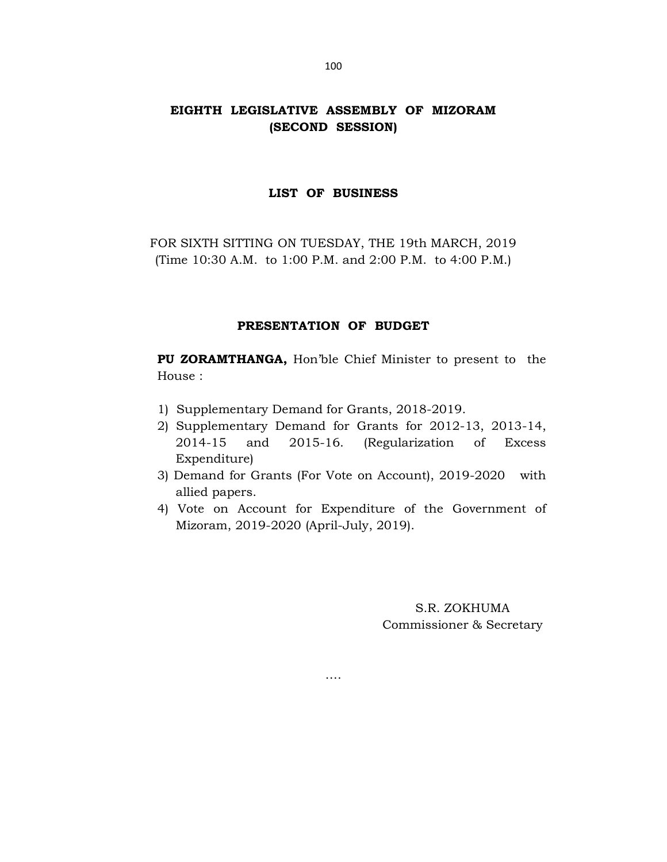# EIGHTH LEGISLATIVE ASSEMBLY OF MIZORAM (SECOND SESSION)

#### LIST OF BUSINESS

FOR SIXTH SITTING ON TUESDAY, THE 19th MARCH, 2019 (Time 10:30 A.M. to 1:00 P.M. and 2:00 P.M. to 4:00 P.M.)

### PRESENTATION OF BUDGET

 PU ZORAMTHANGA, Hon'ble Chief Minister to present to the House :

- 1) Supplementary Demand for Grants, 2018-2019.
- 2) Supplementary Demand for Grants for 2012-13, 2013-14, 2014-15 and 2015-16. (Regularization of Excess Expenditure)
- 3) Demand for Grants (For Vote on Account), 2019-2020 with allied papers.
- 4) Vote on Account for Expenditure of the Government of Mizoram, 2019-2020 (April-July, 2019).

….

S.R. ZOKHUMA Commissioner & Secretary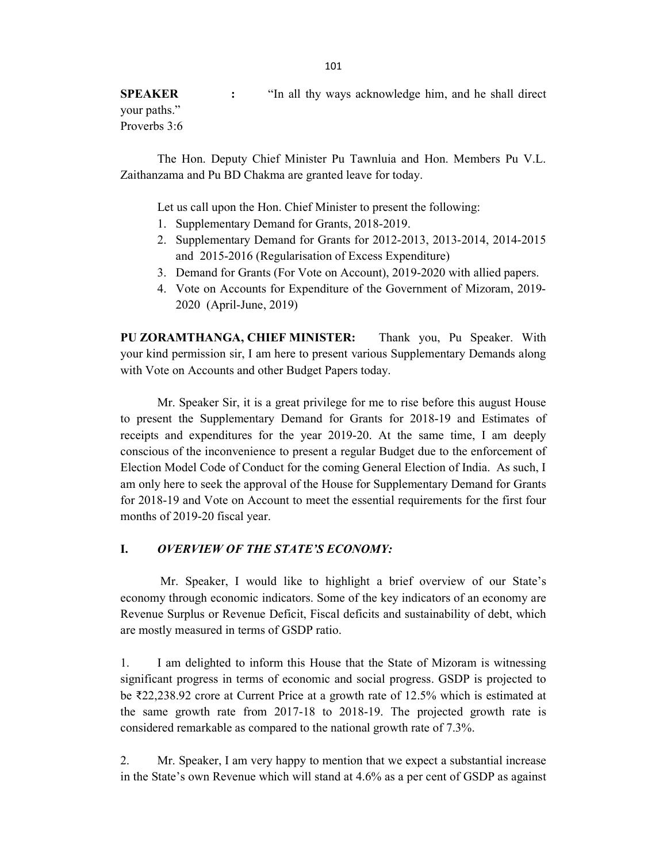**SPEAKER** : "In all thy ways acknowledge him, and he shall direct your paths." Proverbs 3:6

 The Hon. Deputy Chief Minister Pu Tawnluia and Hon. Members Pu V.L. Zaithanzama and Pu BD Chakma are granted leave for today.

Let us call upon the Hon. Chief Minister to present the following:

- 1. Supplementary Demand for Grants, 2018-2019.
- 2. Supplementary Demand for Grants for 2012-2013, 2013-2014, 2014-2015 and 2015-2016 (Regularisation of Excess Expenditure)
- 3. Demand for Grants (For Vote on Account), 2019-2020 with allied papers.
- 4. Vote on Accounts for Expenditure of the Government of Mizoram, 2019- 2020 (April-June, 2019)

PU ZORAMTHANGA, CHIEF MINISTER: Thank you, Pu Speaker. With your kind permission sir, I am here to present various Supplementary Demands along with Vote on Accounts and other Budget Papers today.

 Mr. Speaker Sir, it is a great privilege for me to rise before this august House to present the Supplementary Demand for Grants for 2018-19 and Estimates of receipts and expenditures for the year 2019-20. At the same time, I am deeply conscious of the inconvenience to present a regular Budget due to the enforcement of Election Model Code of Conduct for the coming General Election of India. As such, I am only here to seek the approval of the House for Supplementary Demand for Grants for 2018-19 and Vote on Account to meet the essential requirements for the first four months of 2019-20 fiscal year.

### I. OVERVIEW OF THE STATE'S ECONOMY:

 Mr. Speaker, I would like to highlight a brief overview of our State's economy through economic indicators. Some of the key indicators of an economy are Revenue Surplus or Revenue Deficit, Fiscal deficits and sustainability of debt, which are mostly measured in terms of GSDP ratio.

1. I am delighted to inform this House that the State of Mizoram is witnessing significant progress in terms of economic and social progress. GSDP is projected to be ₹22,238.92 crore at Current Price at a growth rate of 12.5% which is estimated at the same growth rate from 2017-18 to 2018-19. The projected growth rate is considered remarkable as compared to the national growth rate of 7.3%.

2. Mr. Speaker, I am very happy to mention that we expect a substantial increase in the State's own Revenue which will stand at 4.6% as a per cent of GSDP as against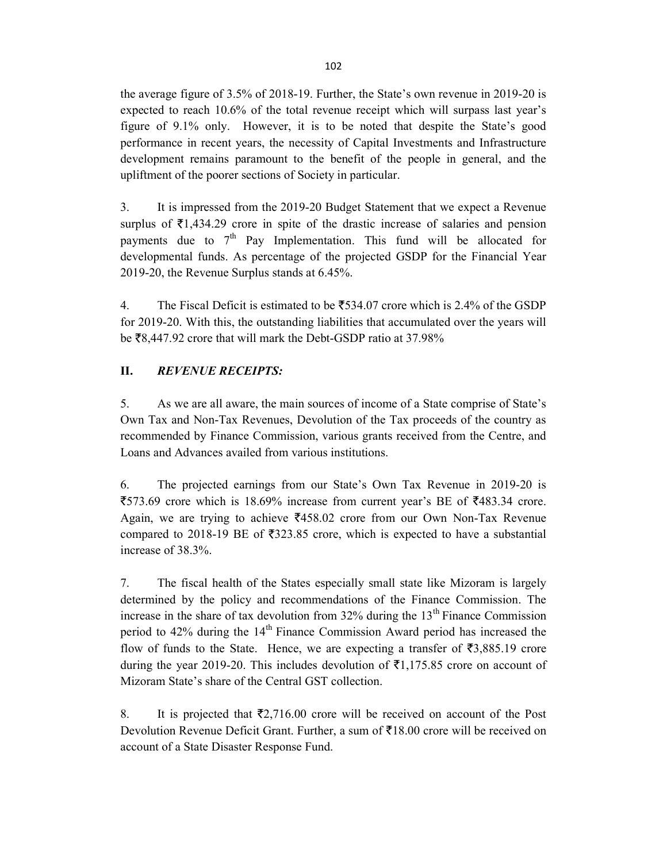the average figure of 3.5% of 2018-19. Further, the State's own revenue in 2019-20 is expected to reach 10.6% of the total revenue receipt which will surpass last year's figure of 9.1% only. However, it is to be noted that despite the State's good performance in recent years, the necessity of Capital Investments and Infrastructure development remains paramount to the benefit of the people in general, and the upliftment of the poorer sections of Society in particular.

3. It is impressed from the 2019-20 Budget Statement that we expect a Revenue surplus of  $\bar{\tau}$ 1,434.29 crore in spite of the drastic increase of salaries and pension payments due to  $7<sup>th</sup>$  Pay Implementation. This fund will be allocated for developmental funds. As percentage of the projected GSDP for the Financial Year 2019-20, the Revenue Surplus stands at 6.45%.

4. The Fiscal Deficit is estimated to be  $\overline{5}$  534.07 crore which is 2.4% of the GSDP for 2019-20. With this, the outstanding liabilities that accumulated over the years will be  $\overline{58,447.92}$  crore that will mark the Debt-GSDP ratio at 37.98%

### II. REVENUE RECEIPTS:

5. As we are all aware, the main sources of income of a State comprise of State's Own Tax and Non-Tax Revenues, Devolution of the Tax proceeds of the country as recommended by Finance Commission, various grants received from the Centre, and Loans and Advances availed from various institutions.

6. The projected earnings from our State's Own Tax Revenue in 2019-20 is  $\overline{$}573.69$  crore which is 18.69% increase from current year's BE of  $\overline{$}483.34$  crore. Again, we are trying to achieve  $\overline{5}$ 458.02 crore from our Own Non-Tax Revenue compared to 2018-19 BE of  $\overline{5}323.85$  crore, which is expected to have a substantial increase of 38.3%.

7. The fiscal health of the States especially small state like Mizoram is largely determined by the policy and recommendations of the Finance Commission. The increase in the share of tax devolution from  $32\%$  during the  $13<sup>th</sup>$  Finance Commission period to 42% during the 14<sup>th</sup> Finance Commission Award period has increased the flow of funds to the State. Hence, we are expecting a transfer of  $\bar{\tau}$ 3,885.19 crore during the year 2019-20. This includes devolution of  $\bar{\tau}1,175.85$  crore on account of Mizoram State's share of the Central GST collection.

8. It is projected that  $\overline{2}2,716.00$  crore will be received on account of the Post Devolution Revenue Deficit Grant. Further, a sum of  $\bar{\tau}18.00$  crore will be received on account of a State Disaster Response Fund.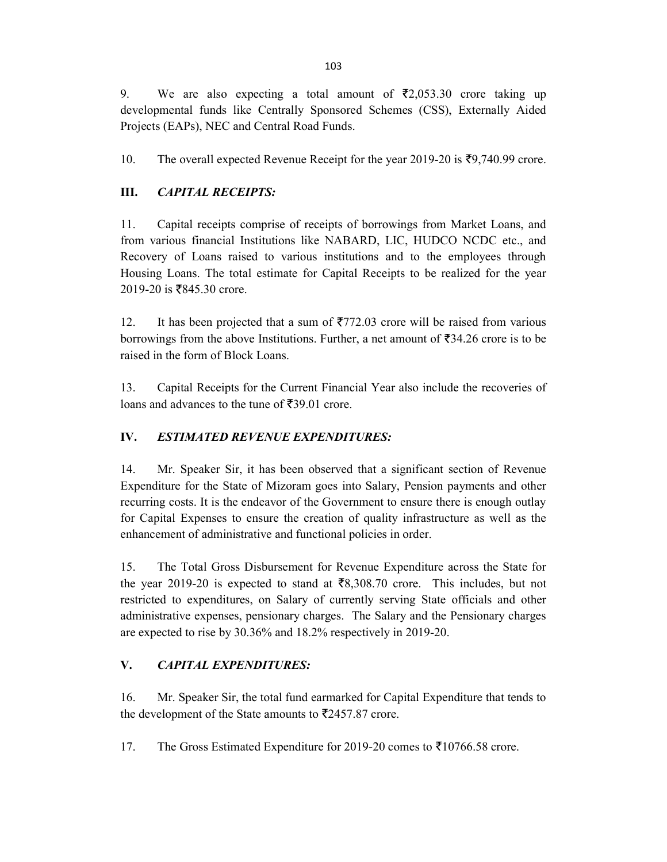9. We are also expecting a total amount of  $\overline{z}2,053.30$  crore taking up developmental funds like Centrally Sponsored Schemes (CSS), Externally Aided Projects (EAPs), NEC and Central Road Funds.

10. The overall expected Revenue Receipt for the year 2019-20 is  $\overline{59,740.99}$  crore.

# III. CAPITAL RECEIPTS:

11. Capital receipts comprise of receipts of borrowings from Market Loans, and from various financial Institutions like NABARD, LIC, HUDCO NCDC etc., and Recovery of Loans raised to various institutions and to the employees through Housing Loans. The total estimate for Capital Receipts to be realized for the year 2019-20 is ₹845.30 crore.

12. It has been projected that a sum of  $\overline{5772.03}$  crore will be raised from various borrowings from the above Institutions. Further, a net amount of  $\overline{5}34.26$  crore is to be raised in the form of Block Loans.

13. Capital Receipts for the Current Financial Year also include the recoveries of loans and advances to the tune of  $\overline{5}39.01$  crore.

# IV. ESTIMATED REVENUE EXPENDITURES:

14. Mr. Speaker Sir, it has been observed that a significant section of Revenue Expenditure for the State of Mizoram goes into Salary, Pension payments and other recurring costs. It is the endeavor of the Government to ensure there is enough outlay for Capital Expenses to ensure the creation of quality infrastructure as well as the enhancement of administrative and functional policies in order.

15. The Total Gross Disbursement for Revenue Expenditure across the State for the year 2019-20 is expected to stand at  $\bar{x}8,308.70$  crore. This includes, but not restricted to expenditures, on Salary of currently serving State officials and other administrative expenses, pensionary charges. The Salary and the Pensionary charges are expected to rise by 30.36% and 18.2% respectively in 2019-20.

### V. CAPITAL EXPENDITURES:

16. Mr. Speaker Sir, the total fund earmarked for Capital Expenditure that tends to the development of the State amounts to  $\overline{5}2457.87$  crore.

17. The Gross Estimated Expenditure for 2019-20 comes to  $\overline{5}10766.58$  crore.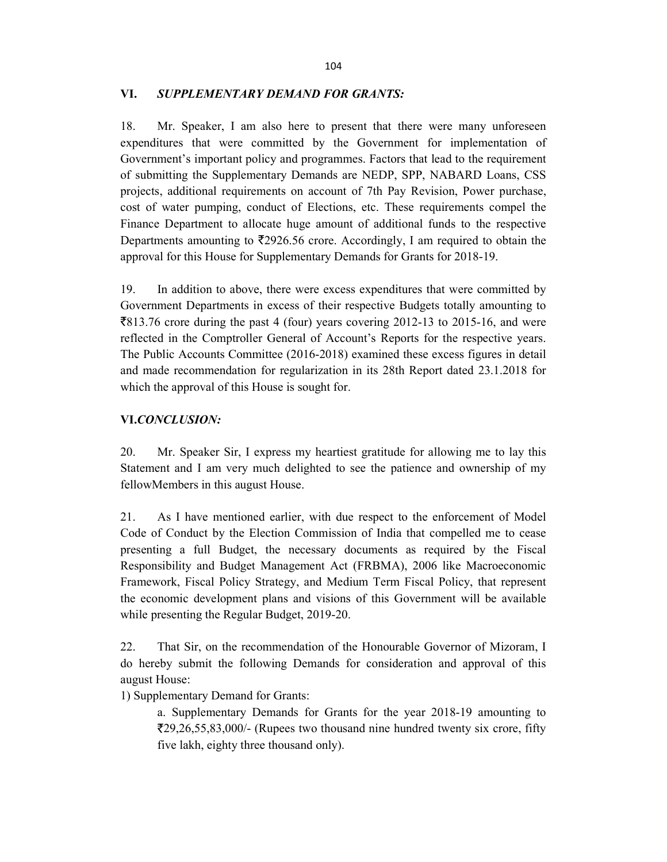#### VI. SUPPLEMENTARY DEMAND FOR GRANTS:

18. Mr. Speaker, I am also here to present that there were many unforeseen expenditures that were committed by the Government for implementation of Government's important policy and programmes. Factors that lead to the requirement of submitting the Supplementary Demands are NEDP, SPP, NABARD Loans, CSS projects, additional requirements on account of 7th Pay Revision, Power purchase, cost of water pumping, conduct of Elections, etc. These requirements compel the Finance Department to allocate huge amount of additional funds to the respective Departments amounting to  $\overline{\xi}2926.56$  crore. Accordingly, I am required to obtain the approval for this House for Supplementary Demands for Grants for 2018-19.

19. In addition to above, there were excess expenditures that were committed by Government Departments in excess of their respective Budgets totally amounting to  $\overline{8}813.76$  crore during the past 4 (four) years covering 2012-13 to 2015-16, and were reflected in the Comptroller General of Account's Reports for the respective years. The Public Accounts Committee (2016-2018) examined these excess figures in detail and made recommendation for regularization in its 28th Report dated 23.1.2018 for which the approval of this House is sought for.

### VI.CONCLUSION:

20. Mr. Speaker Sir, I express my heartiest gratitude for allowing me to lay this Statement and I am very much delighted to see the patience and ownership of my fellowMembers in this august House.

21. As I have mentioned earlier, with due respect to the enforcement of Model Code of Conduct by the Election Commission of India that compelled me to cease presenting a full Budget, the necessary documents as required by the Fiscal Responsibility and Budget Management Act (FRBMA), 2006 like Macroeconomic Framework, Fiscal Policy Strategy, and Medium Term Fiscal Policy, that represent the economic development plans and visions of this Government will be available while presenting the Regular Budget, 2019-20.

22. That Sir, on the recommendation of the Honourable Governor of Mizoram, I do hereby submit the following Demands for consideration and approval of this august House:

1) Supplementary Demand for Grants:

a. Supplementary Demands for Grants for the year 2018-19 amounting to 29,26,55,83,000/- (Rupees two thousand nine hundred twenty six crore, fifty five lakh, eighty three thousand only).